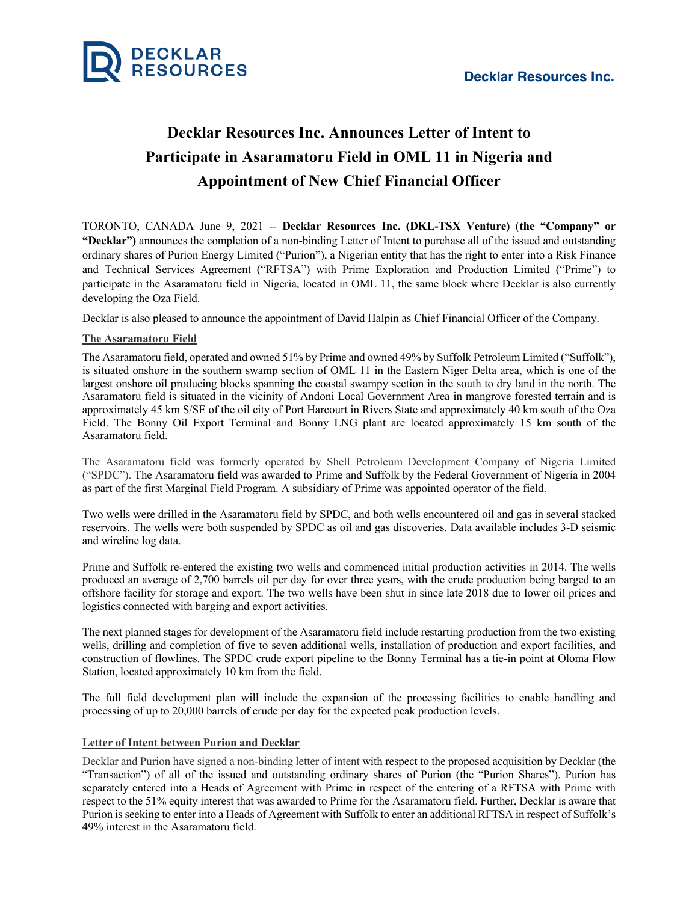

# **Decklar Resources Inc. Announces Letter of Intent to Participate in Asaramatoru Field in OML 11 in Nigeria and Appointment of New Chief Financial Officer**

TORONTO, CANADA June 9, 2021 -- **Decklar Resources Inc. (DKL-TSX Venture)** (**the "Company" or "Decklar")** announces the completion of a non-binding Letter of Intent to purchase all of the issued and outstanding ordinary shares of Purion Energy Limited ("Purion"), a Nigerian entity that has the right to enter into a Risk Finance and Technical Services Agreement ("RFTSA") with Prime Exploration and Production Limited ("Prime") to participate in the Asaramatoru field in Nigeria, located in OML 11, the same block where Decklar is also currently developing the Oza Field.

Decklar is also pleased to announce the appointment of David Halpin as Chief Financial Officer of the Company.

# **The Asaramatoru Field**

The Asaramatoru field, operated and owned 51% by Prime and owned 49% by Suffolk Petroleum Limited ("Suffolk"), is situated onshore in the southern swamp section of OML 11 in the Eastern Niger Delta area, which is one of the largest onshore oil producing blocks spanning the coastal swampy section in the south to dry land in the north. The Asaramatoru field is situated in the vicinity of Andoni Local Government Area in mangrove forested terrain and is approximately 45 km S/SE of the oil city of Port Harcourt in Rivers State and approximately 40 km south of the Oza Field. The Bonny Oil Export Terminal and Bonny LNG plant are located approximately 15 km south of the Asaramatoru field.

The Asaramatoru field was formerly operated by Shell Petroleum Development Company of Nigeria Limited ("SPDC"). The Asaramatoru field was awarded to Prime and Suffolk by the Federal Government of Nigeria in 2004 as part of the first Marginal Field Program. A subsidiary of Prime was appointed operator of the field.

Two wells were drilled in the Asaramatoru field by SPDC, and both wells encountered oil and gas in several stacked reservoirs. The wells were both suspended by SPDC as oil and gas discoveries. Data available includes 3-D seismic and wireline log data.

Prime and Suffolk re-entered the existing two wells and commenced initial production activities in 2014. The wells produced an average of 2,700 barrels oil per day for over three years, with the crude production being barged to an offshore facility for storage and export. The two wells have been shut in since late 2018 due to lower oil prices and logistics connected with barging and export activities.

The next planned stages for development of the Asaramatoru field include restarting production from the two existing wells, drilling and completion of five to seven additional wells, installation of production and export facilities, and construction of flowlines. The SPDC crude export pipeline to the Bonny Terminal has a tie-in point at Oloma Flow Station, located approximately 10 km from the field.

The full field development plan will include the expansion of the processing facilities to enable handling and processing of up to 20,000 barrels of crude per day for the expected peak production levels.

## **Letter of Intent between Purion and Decklar**

Decklar and Purion have signed a non-binding letter of intent with respect to the proposed acquisition by Decklar (the "Transaction") of all of the issued and outstanding ordinary shares of Purion (the "Purion Shares"). Purion has separately entered into a Heads of Agreement with Prime in respect of the entering of a RFTSA with Prime with respect to the 51% equity interest that was awarded to Prime for the Asaramatoru field. Further, Decklar is aware that Purion is seeking to enter into a Heads of Agreement with Suffolk to enter an additional RFTSA in respect of Suffolk's 49% interest in the Asaramatoru field.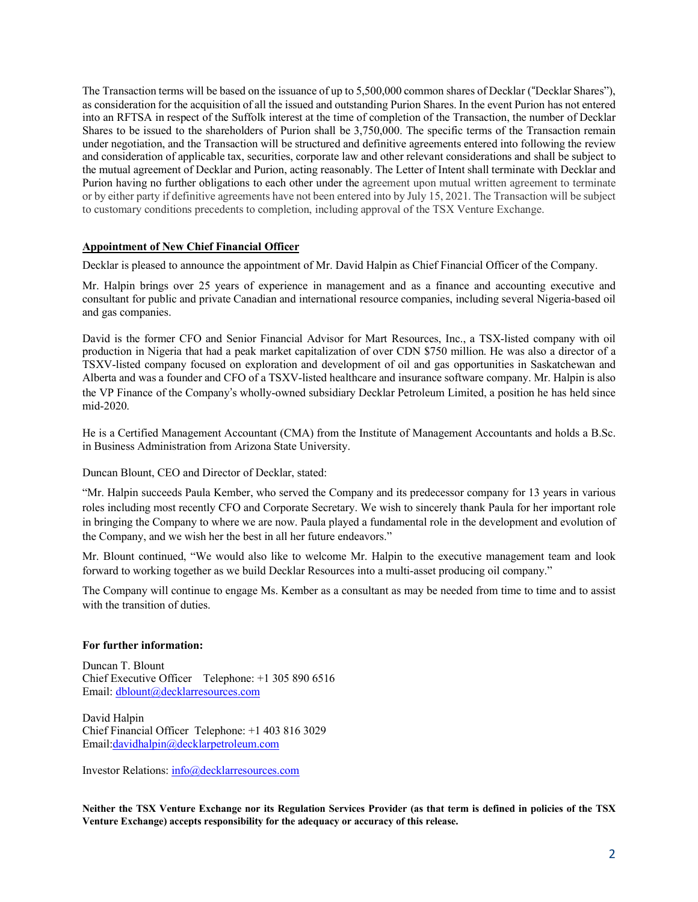The Transaction terms will be based on the issuance of up to 5,500,000 common shares of Decklar ("Decklar Shares"), as consideration for the acquisition of all the issued and outstanding Purion Shares. In the event Purion has not entered into an RFTSA in respect of the Suffolk interest at the time of completion of the Transaction, the number of Decklar Shares to be issued to the shareholders of Purion shall be 3,750,000. The specific terms of the Transaction remain under negotiation, and the Transaction will be structured and definitive agreements entered into following the review and consideration of applicable tax, securities, corporate law and other relevant considerations and shall be subject to the mutual agreement of Decklar and Purion, acting reasonably. The Letter of Intent shall terminate with Decklar and Purion having no further obligations to each other under the agreement upon mutual written agreement to terminate or by either party if definitive agreements have not been entered into by July 15, 2021. The Transaction will be subject to customary conditions precedents to completion, including approval of the TSX Venture Exchange.

### **Appointment of New Chief Financial Officer**

Decklar is pleased to announce the appointment of Mr. David Halpin as Chief Financial Officer of the Company.

Mr. Halpin brings over 25 years of experience in management and as a finance and accounting executive and consultant for public and private Canadian and international resource companies, including several Nigeria-based oil and gas companies.

David is the former CFO and Senior Financial Advisor for Mart Resources, Inc., a TSX-listed company with oil production in Nigeria that had a peak market capitalization of over CDN \$750 million. He was also a director of a TSXV-listed company focused on exploration and development of oil and gas opportunities in Saskatchewan and Alberta and was a founder and CFO of a TSXV-listed healthcare and insurance software company. Mr. Halpin is also the VP Finance of the Company's wholly-owned subsidiary Decklar Petroleum Limited, a position he has held since mid-2020.

He is a Certified Management Accountant (CMA) from the Institute of Management Accountants and holds a B.Sc. in Business Administration from Arizona State University.

Duncan Blount, CEO and Director of Decklar, stated:

"Mr. Halpin succeeds Paula Kember, who served the Company and its predecessor company for 13 years in various roles including most recently CFO and Corporate Secretary. We wish to sincerely thank Paula for her important role in bringing the Company to where we are now. Paula played a fundamental role in the development and evolution of the Company, and we wish her the best in all her future endeavors."

Mr. Blount continued, "We would also like to welcome Mr. Halpin to the executive management team and look forward to working together as we build Decklar Resources into a multi-asset producing oil company."

The Company will continue to engage Ms. Kember as a consultant as may be needed from time to time and to assist with the transition of duties.

#### **For further information:**

Duncan T. Blount Chief Executive Officer Telephone: +1 305 890 6516 Email: dblount@decklarresources.com

David Halpin Chief Financial Officer Telephone: +1 403 816 3029 Email:davidhalpin@decklarpetroleum.com

Investor Relations: info@decklarresources.com

Neither the TSX Venture Exchange nor its Regulation Services Provider (as that term is defined in policies of the TSX **Venture Exchange) accepts responsibility for the adequacy or accuracy of this release.**